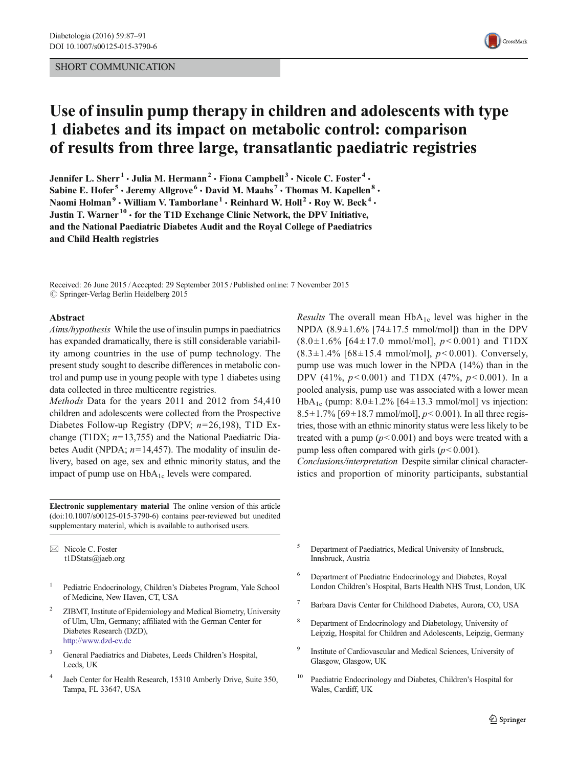### SHORT COMMUNICATION



# Use of insulin pump therapy in children and adolescents with type 1 diabetes and its impact on metabolic control: comparison of results from three large, transatlantic paediatric registries

Jennifer L. Sherr<sup>1</sup> · Julia M. Hermann<sup>2</sup> · Fiona Campbell<sup>3</sup> · Nicole C. Foster<sup>4</sup> · Sabine E. Hofer<sup>5</sup>  $\cdot$  Jeremy Allgrove<sup>6</sup>  $\cdot$  David M. Maahs<sup>7</sup>  $\cdot$  Thomas M. Kapellen<sup>8</sup>  $\cdot$ Naomi Holman<sup>9</sup> · William V. Tamborlane<sup>1</sup> · Reinhard W. Holl<sup>2</sup> · Roy W. Beck<sup>4</sup> · Justin T. Warner<sup>10</sup>  $\cdot$  for the T1D Exchange Clinic Network, the DPV Initiative, and the National Paediatric Diabetes Audit and the Royal College of Paediatrics and Child Health registries

Received: 26 June 2015 /Accepted: 29 September 2015 /Published online: 7 November 2015  $\oslash$  Springer-Verlag Berlin Heidelberg 2015

#### Abstract

Aims/hypothesis While the use of insulin pumps in paediatrics has expanded dramatically, there is still considerable variability among countries in the use of pump technology. The present study sought to describe differences in metabolic control and pump use in young people with type 1 diabetes using data collected in three multicentre registries.

Methods Data for the years 2011 and 2012 from 54,410 children and adolescents were collected from the Prospective Diabetes Follow-up Registry (DPV;  $n=26,198$ ), T1D Exchange (T1DX;  $n=13,755$ ) and the National Paediatric Diabetes Audit (NPDA;  $n=14,457$ ). The modality of insulin delivery, based on age, sex and ethnic minority status, and the impact of pump use on  $HbA_{1c}$  levels were compared.

Electronic supplementary material The online version of this article (doi[:10.1007/s00125-015-3790-6\)](http://dx.doi.org/10.1007/s00125-015-3790-6) contains peer-reviewed but unedited supplementary material, which is available to authorised users.

 $\boxtimes$  Nicole C. Foster t1DStats@jaeb.org

- <sup>1</sup> Pediatric Endocrinology, Children's Diabetes Program, Yale School of Medicine, New Haven, CT, USA
- <sup>2</sup> ZIBMT, Institute of Epidemiology and Medical Biometry, University of Ulm, Ulm, Germany; affiliated with the German Center for Diabetes Research (DZD), http://www.dzd-ev.de
- <sup>3</sup> General Paediatrics and Diabetes, Leeds Children's Hospital, Leeds, UK
- <sup>4</sup> Jaeb Center for Health Research, 15310 Amberly Drive, Suite 350, Tampa, FL 33647, USA

*Results* The overall mean  $HbA_{1c}$  level was higher in the NPDA  $(8.9 \pm 1.6\%$  [74 $\pm$ 17.5 mmol/mol]) than in the DPV  $(8.0\pm1.6\%$  [64 $\pm17.0$  mmol/mol],  $p<0.001$ ) and T1DX  $(8.3 \pm 1.4\%$  [68 $\pm$ 15.4 mmol/mol],  $p < 0.001$ ). Conversely, pump use was much lower in the NPDA (14%) than in the DPV (41%,  $p < 0.001$ ) and T1DX (47%,  $p < 0.001$ ). In a pooled analysis, pump use was associated with a lower mean HbA<sub>1c</sub> (pump:  $8.0 \pm 1.2\%$  [64 $\pm$ 13.3 mmol/mol] vs injection:  $8.5 \pm 1.7\%$  [69 $\pm$ 18.7 mmol/mol],  $p < 0.001$ ). In all three registries, those with an ethnic minority status were less likely to be treated with a pump  $(p<0.001)$  and boys were treated with a pump less often compared with girls  $(p<0.001)$ .

Conclusions/interpretation Despite similar clinical characteristics and proportion of minority participants, substantial

- <sup>5</sup> Department of Paediatrics, Medical University of Innsbruck, Innsbruck, Austria
- <sup>6</sup> Department of Paediatric Endocrinology and Diabetes, Royal London Children's Hospital, Barts Health NHS Trust, London, UK
- <sup>7</sup> Barbara Davis Center for Childhood Diabetes, Aurora, CO, USA
- <sup>8</sup> Department of Endocrinology and Diabetology, University of Leipzig, Hospital for Children and Adolescents, Leipzig, Germany
- <sup>9</sup> Institute of Cardiovascular and Medical Sciences, University of Glasgow, Glasgow, UK
- Paediatric Endocrinology and Diabetes, Children's Hospital for Wales, Cardiff, UK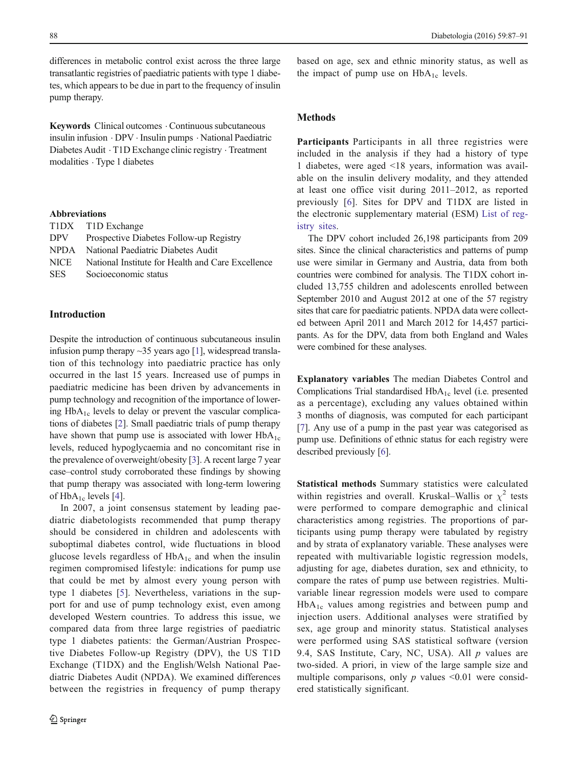differences in metabolic control exist across the three large transatlantic registries of paediatric patients with type 1 diabetes, which appears to be due in part to the frequency of insulin pump therapy.

Keywords Clinical outcomes . Continuous subcutaneous insulin infusion . DPV . Insulin pumps . National Paediatric Diabetes Audit . T1D Exchange clinic registry . Treatment modalities . Type 1 diabetes

#### Abbreviations

|            | T1DX T1D Exchange                                 |
|------------|---------------------------------------------------|
| <b>DPV</b> | Prospective Diabetes Follow-up Registry           |
|            | NPDA National Paediatric Diabetes Audit           |
| NICE       | National Institute for Health and Care Excellence |
| <b>SES</b> | Socioeconomic status                              |
|            |                                                   |

#### Introduction

Despite the introduction of continuous subcutaneous insulin infusion pump therapy  $\sim$ 35 years ago [\[1\]](#page-4-0), widespread translation of this technology into paediatric practice has only occurred in the last 15 years. Increased use of pumps in paediatric medicine has been driven by advancements in pump technology and recognition of the importance of lowering HbA<sub>1c</sub> levels to delay or prevent the vascular complications of diabetes [[2\]](#page-4-0). Small paediatric trials of pump therapy have shown that pump use is associated with lower  $HbA_{1c}$ levels, reduced hypoglycaemia and no concomitant rise in the prevalence of overweight/obesity [[3\]](#page-4-0). A recent large 7 year case–control study corroborated these findings by showing that pump therapy was associated with long-term lowering of  $HbA_{1c}$  levels [\[4](#page-4-0)].

In 2007, a joint consensus statement by leading paediatric diabetologists recommended that pump therapy should be considered in children and adolescents with suboptimal diabetes control, wide fluctuations in blood glucose levels regardless of  $HbA_{1c}$  and when the insulin regimen compromised lifestyle: indications for pump use that could be met by almost every young person with type 1 diabetes [\[5\]](#page-4-0). Nevertheless, variations in the support for and use of pump technology exist, even among developed Western countries. To address this issue, we compared data from three large registries of paediatric type 1 diabetes patients: the German/Austrian Prospective Diabetes Follow-up Registry (DPV), the US T1D Exchange (T1DX) and the English/Welsh National Paediatric Diabetes Audit (NPDA). We examined differences between the registries in frequency of pump therapy

based on age, sex and ethnic minority status, as well as the impact of pump use on  $HbA_{1c}$  levels.

#### Methods

Participants Participants in all three registries were included in the analysis if they had a history of type 1 diabetes, were aged <18 years, information was available on the insulin delivery modality, and they attended at least one office visit during 2011–2012, as reported previously [[6\]](#page-4-0). Sites for DPV and T1DX are listed in the electronic supplementary material (ESM) List of registry sites.

The DPV cohort included 26,198 participants from 209 sites. Since the clinical characteristics and patterns of pump use were similar in Germany and Austria, data from both countries were combined for analysis. The T1DX cohort included 13,755 children and adolescents enrolled between September 2010 and August 2012 at one of the 57 registry sites that care for paediatric patients. NPDA data were collected between April 2011 and March 2012 for 14,457 participants. As for the DPV, data from both England and Wales were combined for these analyses.

Explanatory variables The median Diabetes Control and Complications Trial standardised  $HbA_{1c}$  level (i.e. presented as a percentage), excluding any values obtained within 3 months of diagnosis, was computed for each participant [\[7](#page-4-0)]. Any use of a pump in the past year was categorised as pump use. Definitions of ethnic status for each registry were described previously [\[6](#page-4-0)].

Statistical methods Summary statistics were calculated within registries and overall. Kruskal–Wallis or  $\chi^2$  tests were performed to compare demographic and clinical characteristics among registries. The proportions of participants using pump therapy were tabulated by registry and by strata of explanatory variable. These analyses were repeated with multivariable logistic regression models, adjusting for age, diabetes duration, sex and ethnicity, to compare the rates of pump use between registries. Multivariable linear regression models were used to compare  $HbA_{1c}$  values among registries and between pump and injection users. Additional analyses were stratified by sex, age group and minority status. Statistical analyses were performed using SAS statistical software (version 9.4, SAS Institute, Cary, NC, USA). All  $p$  values are two-sided. A priori, in view of the large sample size and multiple comparisons, only  $p$  values <0.01 were considered statistically significant.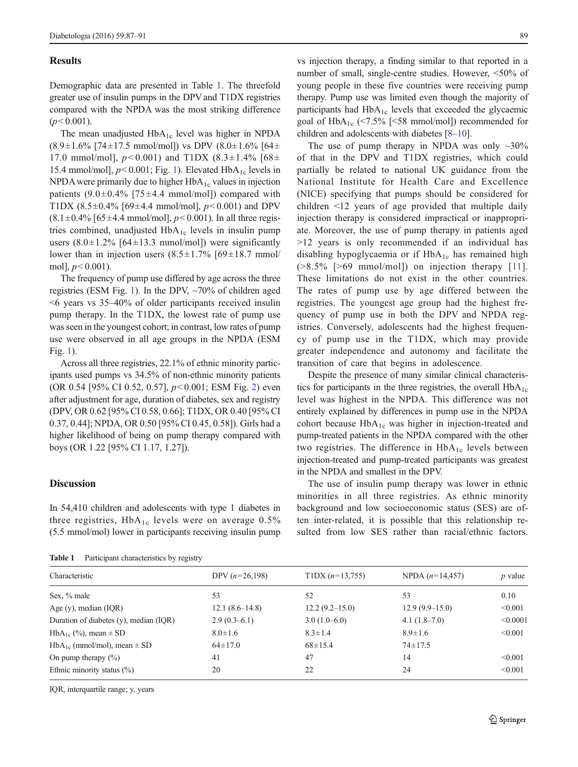#### **Results**

Demographic data are presented in Table 1. The threefold greater use of insulin pumps in the DPV and T1DX registries compared with the NPDA was the most striking difference  $(p<0.001)$ .

The mean unadjusted  $HbA_{1c}$  level was higher in NPDA  $(8.9\pm1.6\%$  [74 $\pm$ 17.5 mmol/mol]) vs DPV  $(8.0\pm1.6\%$  [64 $\pm$ 17.0 mmol/mol],  $p < 0.001$ ) and T1DX (8.3±1.4% [68± 15.4 mmol/mol],  $p<0.001$ ; Fig. [1\)](#page-3-0). Elevated HbA<sub>1c</sub> levels in NPDA were primarily due to higher  $HbA_{1c}$  values in injection patients  $(9.0\pm0.4\%$  [75 $\pm$ 4.4 mmol/mol]) compared with T1DX (8.5 $\pm$ 0.4% [69 $\pm$ 4.4 mmol/mol],  $p$ <0.001) and DPV  $(8.1 \pm 0.4\%$  [65 $\pm$ 4.4 mmol/mol],  $p < 0.001$ ). In all three registries combined, unadjusted  $HbA_{1c}$  levels in insulin pump users  $(8.0 \pm 1.2\%$  [64 $\pm$ 13.3 mmol/mol]) were significantly lower than in injection users  $(8.5 \pm 1.7\%)$  [69 $\pm$ 18.7 mmol/ mol],  $p < 0.001$ ).

The frequency of pump use differed by age across the three registries (ESM Fig. 1). In the DPV, ~70% of children aged <6 years vs 35–40% of older participants received insulin pump therapy. In the T1DX, the lowest rate of pump use was seen in the youngest cohort; in contrast, low rates of pump use were observed in all age groups in the NPDA (ESM Fig. 1).

Across all three registries, 22.1% of ethnic minority participants used pumps vs 34.5% of non-ethnic minority patients (OR 0.54 [95% CI 0.52, 0.57],  $p < 0.001$ ; ESM Fig. 2) even after adjustment for age, duration of diabetes, sex and registry (DPV, OR 0.62 [95% CI 0.58, 0.66]; T1DX, OR 0.40 [95% CI 0.37, 0.44]; NPDA, OR 0.50 [95% CI 0.45, 0.58]). Girls had a higher likelihood of being on pump therapy compared with boys (OR 1.22 [95% CI 1.17, 1.27]).

#### **Discussion**

In 54,410 children and adolescents with type 1 diabetes in three registries,  $HbA_{1c}$  levels were on average 0.5% (5.5 mmol/mol) lower in participants receiving insulin pump

Table 1 Participant characteristics by registry

vs injection therapy, a finding similar to that reported in a number of small, single-centre studies. However, <50% of young people in these five countries were receiving pump therapy. Pump use was limited even though the majority of participants had HbA<sub>1c</sub> levels that exceeded the glycaemic goal of  $HbA_{1c}$  (<7.5% [<58 mmol/mol]) recommended for children and adolescents with diabetes [\[8](#page-4-0)–[10](#page-4-0)].

The use of pump therapy in NPDA was only  $\sim 30\%$ of that in the DPV and T1DX registries, which could partially be related to national UK guidance from the National Institute for Health Care and Excellence (NICE) specifying that pumps should be considered for children <12 years of age provided that multiple daily injection therapy is considered impractical or inappropriate. Moreover, the use of pump therapy in patients aged >12 years is only recommended if an individual has disabling hypoglycaemia or if  $HbA_{1c}$  has remained high  $($ >8.5% [>69 mmol/mol]) on injection therapy [[11](#page-4-0)]. These limitations do not exist in the other countries. The rates of pump use by age differed between the registries. The youngest age group had the highest frequency of pump use in both the DPV and NPDA registries. Conversely, adolescents had the highest frequency of pump use in the T1DX, which may provide greater independence and autonomy and facilitate the transition of care that begins in adolescence.

Despite the presence of many similar clinical characteristics for participants in the three registries, the overall  $HbA_{1c}$ level was highest in the NPDA. This difference was not entirely explained by differences in pump use in the NPDA cohort because  $HbA_{1c}$  was higher in injection-treated and pump-treated patients in the NPDA compared with the other two registries. The difference in  $HbA_{1c}$  levels between injection-treated and pump-treated participants was greatest in the NPDA and smallest in the DPV.

The use of insulin pump therapy was lower in ethnic minorities in all three registries. As ethnic minority background and low socioeconomic status (SES) are often inter-related, it is possible that this relationship resulted from low SES rather than racial/ethnic factors.

| $\cdots \cdots$<br>$\frac{1}{2}$ and $\frac{1}{2}$ and $\frac{1}{2}$ and $\frac{1}{2}$ and $\frac{1}{2}$ and $\frac{1}{2}$ and $\frac{1}{2}$ and $\frac{1}{2}$ and $\frac{1}{2}$ and $\frac{1}{2}$ and $\frac{1}{2}$ and $\frac{1}{2}$ and $\frac{1}{2}$ and $\frac{1}{2}$ and $\frac{1}{2}$ and $\frac{1}{2}$ a<br>DPV $(n=26,198)$<br>$T1DX (n=13,755)$<br>NPDA $(n=14,457)$<br>Characteristic<br>$p$ value |  |
|---------------------------------------------------------------------------------------------------------------------------------------------------------------------------------------------------------------------------------------------------------------------------------------------------------------------------------------------------------------------------------------------------------------|--|
|                                                                                                                                                                                                                                                                                                                                                                                                               |  |
| 0.10                                                                                                                                                                                                                                                                                                                                                                                                          |  |
| $12.9(9.9-15.0)$<br>< 0.001                                                                                                                                                                                                                                                                                                                                                                                   |  |
| $4.1(1.8-7.0)$<br>< 0.0001                                                                                                                                                                                                                                                                                                                                                                                    |  |
| < 0.001                                                                                                                                                                                                                                                                                                                                                                                                       |  |
|                                                                                                                                                                                                                                                                                                                                                                                                               |  |
| < 0.001                                                                                                                                                                                                                                                                                                                                                                                                       |  |
| < 0.001                                                                                                                                                                                                                                                                                                                                                                                                       |  |
|                                                                                                                                                                                                                                                                                                                                                                                                               |  |

IQR, interquartile range; y, years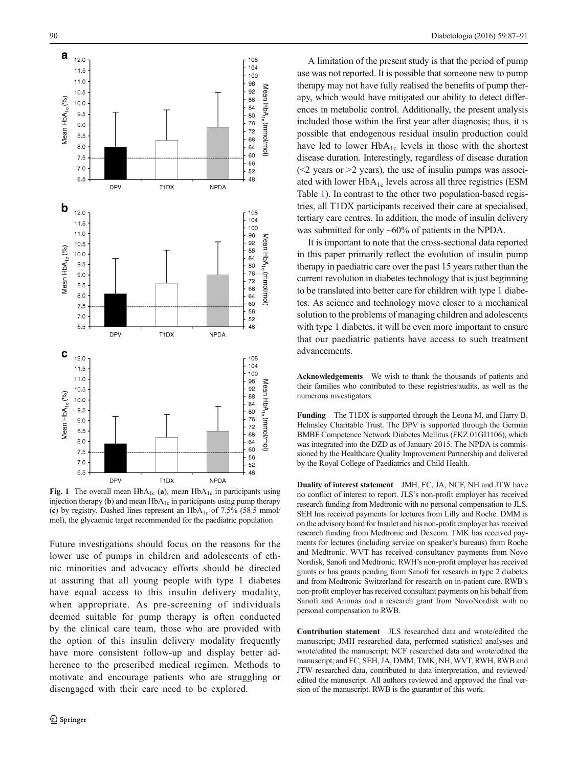<span id="page-3-0"></span>

Fig. 1 The overall mean  $HbA_{1c}$  (a), mean  $HbA_{1c}$  in participants using injection therapy (b) and mean  $HbA_{1c}$  in participants using pump therapy (c) by registry. Dashed lines represent an  $HbA_{1c}$  of 7.5% (58.5 mmol/ mol), the glycaemic target recommended for the paediatric population

Future investigations should focus on the reasons for the lower use of pumps in children and adolescents of ethnic minorities and advocacy efforts should be directed at assuring that all young people with type 1 diabetes have equal access to this insulin delivery modality, when appropriate. As pre-screening of individuals deemed suitable for pump therapy is often conducted by the clinical care team, those who are provided with the option of this insulin delivery modality frequently have more consistent follow-up and display better adherence to the prescribed medical regimen. Methods to motivate and encourage patients who are struggling or disengaged with their care need to be explored.

A limitation of the present study is that the period of pump use was not reported. It is possible that someone new to pump therapy may not have fully realised the benefits of pump therapy, which would have mitigated our ability to detect differences in metabolic control. Additionally, the present analysis included those within the first year after diagnosis; thus, it is possible that endogenous residual insulin production could have led to lower  $HbA_{1c}$  levels in those with the shortest disease duration. Interestingly, regardless of disease duration  $\approx$  2 years or  $\geq$  years), the use of insulin pumps was associated with lower  $HbA_{1c}$  levels across all three registries (ESM Table 1). In contrast to the other two population-based registries, all T1DX participants received their care at specialised, tertiary care centres. In addition, the mode of insulin delivery was submitted for only ~60% of patients in the NPDA.

It is important to note that the cross-sectional data reported in this paper primarily reflect the evolution of insulin pump therapy in paediatric care over the past 15 years rather than the current revolution in diabetes technology that is just beginning to be translated into better care for children with type 1 diabetes. As science and technology move closer to a mechanical solution to the problems of managing children and adolescents with type 1 diabetes, it will be even more important to ensure that our paediatric patients have access to such treatment advancements.

Acknowledgements We wish to thank the thousands of patients and their families who contributed to these registries/audits, as well as the numerous investigators.

Funding The T1DX is supported through the Leona M. and Harry B. Helmsley Charitable Trust. The DPV is supported through the German BMBF Competence Network Diabetes Mellitus (FKZ 01GI1106), which was integrated into the DZD as of January 2015. The NPDA is commissioned by the Healthcare Quality Improvement Partnership and delivered by the Royal College of Paediatrics and Child Health.

Duality of interest statement JMH, FC, JA, NCF, NH and JTW have no conflict of interest to report. JLS's non-profit employer has received research funding from Medtronic with no personal compensation to JLS. SEH has received payments for lectures from Lilly and Roche. DMM is on the advisory board for Insulet and his non-profit employer has received research funding from Medtronic and Dexcom. TMK has received payments for lectures (including service on speaker's bureaus) from Roche and Medtronic. WVT has received consultancy payments from Novo Nordisk, Sanofi and Medtronic. RWH's non-profit employer has received grants or has grants pending from Sanofi for research in type 2 diabetes and from Medtronic Switzerland for research on in-patient care. RWB's non-profit employer has received consultant payments on his behalf from Sanofi and Animas and a research grant from NovoNordisk with no personal compensation to RWB.

Contribution statement JLS researched data and wrote/edited the manuscript; JMH researched data, performed statistical analyses and wrote/edited the manuscript; NCF researched data and wrote/edited the manuscript; and FC, SEH, JA, DMM, TMK, NH, WVT, RWH, RWB and JTW researched data, contributed to data interpretation, and reviewed/ edited the manuscript. All authors reviewed and approved the final version of the manuscript. RWB is the guarantor of this work.